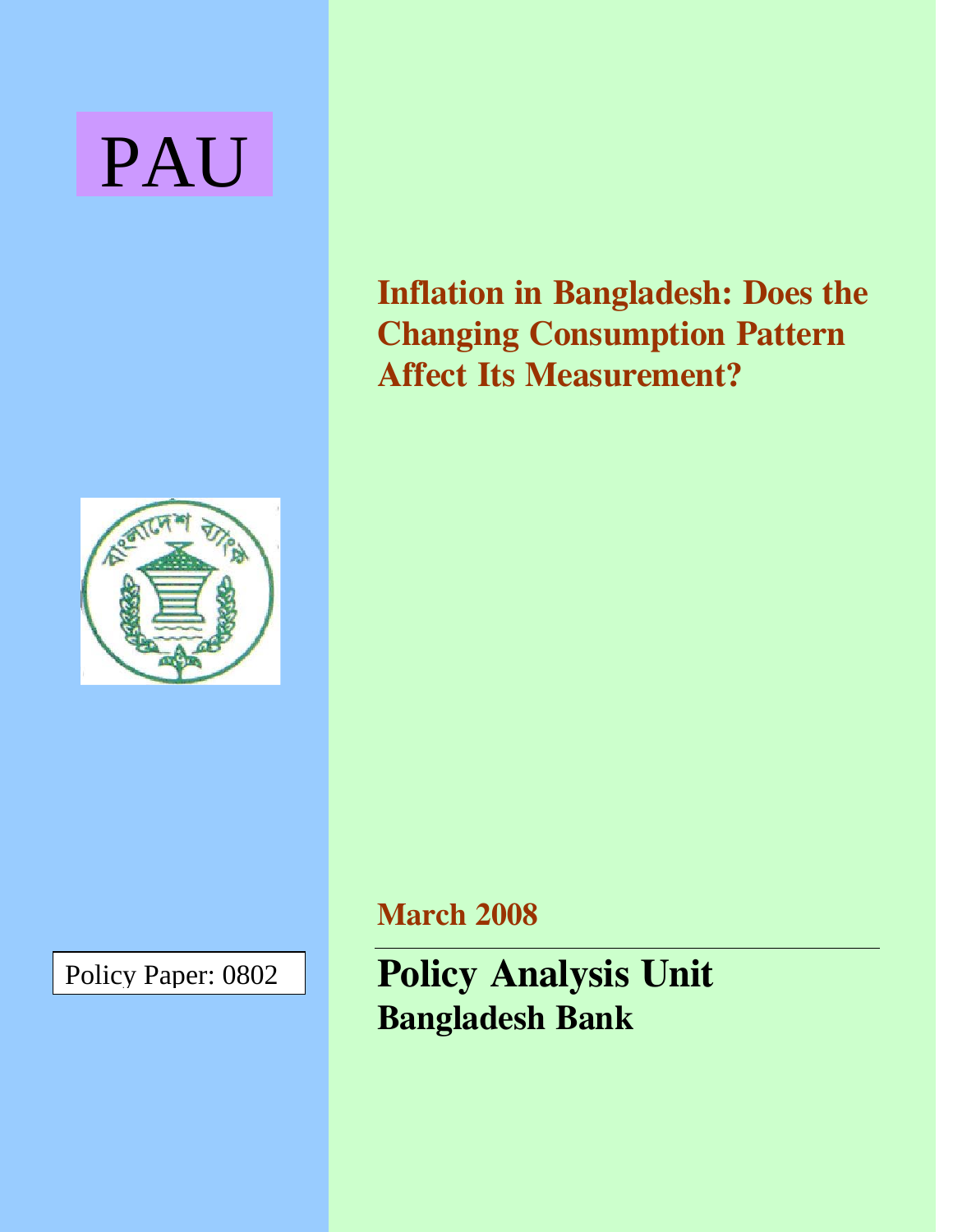# PAU



Policy Paper: 0802

**Inflation in Bangladesh: Does the Changing Consumption Pattern Affect Its Measurement?** 

**March 2008** 

**Policy Analysis Unit Bangladesh Bank**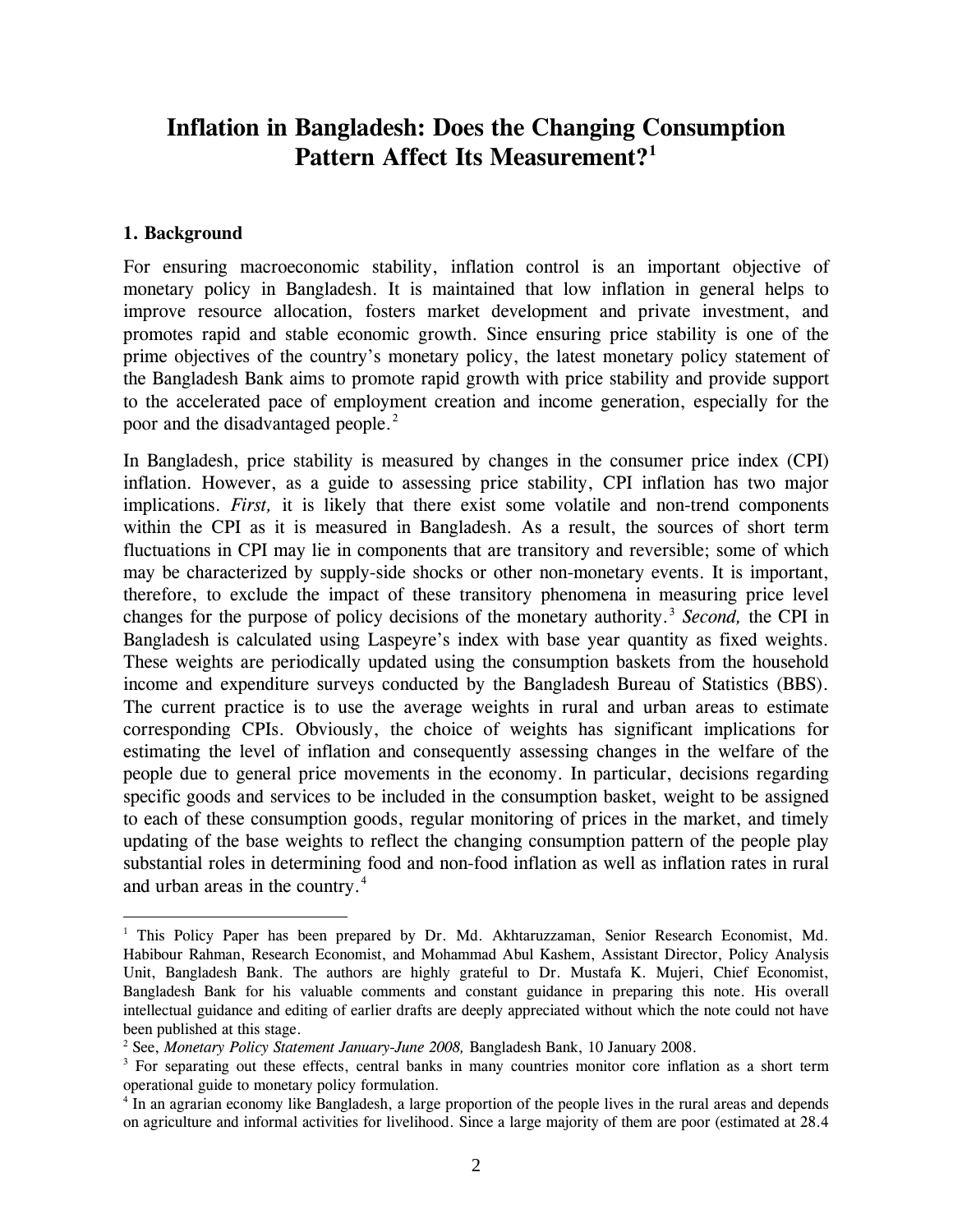# **Inflation in Bangladesh: Does the Changing Consumption Pattern Affect Its Measurement?[1](#page-1-0)**

#### **1. Background**

 $\overline{a}$ 

For ensuring macroeconomic stability, inflation control is an important objective of monetary policy in Bangladesh. It is maintained that low inflation in general helps to improve resource allocation, fosters market development and private investment, and promotes rapid and stable economic growth. Since ensuring price stability is one of the prime objectives of the country's monetary policy, the latest monetary policy statement of the Bangladesh Bank aims to promote rapid growth with price stability and provide support to the accelerated pace of employment creation and income generation, especially for the poor and the disadvantaged people.<sup>[2](#page-1-1)</sup>

In Bangladesh, price stability is measured by changes in the consumer price index (CPI) inflation. However, as a guide to assessing price stability, CPI inflation has two major implications. *First,* it is likely that there exist some volatile and non-trend components within the CPI as it is measured in Bangladesh. As a result, the sources of short term fluctuations in CPI may lie in components that are transitory and reversible; some of which may be characterized by supply-side shocks or other non-monetary events. It is important, therefore, to exclude the impact of these transitory phenomena in measuring price level changes for the purpose of policy decisions of the monetary authority.<sup>[3](#page-1-2)</sup> *Second*, the CPI in Bangladesh is calculated using Laspeyre's index with base year quantity as fixed weights. These weights are periodically updated using the consumption baskets from the household income and expenditure surveys conducted by the Bangladesh Bureau of Statistics (BBS). The current practice is to use the average weights in rural and urban areas to estimate corresponding CPIs. Obviously, the choice of weights has significant implications for estimating the level of inflation and consequently assessing changes in the welfare of the people due to general price movements in the economy. In particular, decisions regarding specific goods and services to be included in the consumption basket, weight to be assigned to each of these consumption goods, regular monitoring of prices in the market, and timely updating of the base weights to reflect the changing consumption pattern of the people play substantial roles in determining food and non-food inflation as well as inflation rates in rural and urban areas in the country.<sup>[4](#page-1-3)</sup>

<span id="page-1-0"></span><sup>&</sup>lt;sup>1</sup> This Policy Paper has been prepared by Dr. Md. Akhtaruzzaman, Senior Research Economist, Md. Habibour Rahman, Research Economist, and Mohammad Abul Kashem, Assistant Director, Policy Analysis Unit, Bangladesh Bank. The authors are highly grateful to Dr. Mustafa K. Mujeri, Chief Economist, Bangladesh Bank for his valuable comments and constant guidance in preparing this note. His overall intellectual guidance and editing of earlier drafts are deeply appreciated without which the note could not have been published at this stage.

<span id="page-1-1"></span><sup>&</sup>lt;sup>2</sup> See, *Monetary Policy Statement January-June 2008*, Bangladesh Bank, 10 January 2008.

<span id="page-1-2"></span><sup>&</sup>lt;sup>3</sup> For separating out these effects, central banks in many countries monitor core inflation as a short term operational guide to monetary policy formulation.

<span id="page-1-3"></span><sup>&</sup>lt;sup>4</sup> In an agrarian economy like Bangladesh, a large proportion of the people lives in the rural areas and depends on agriculture and informal activities for livelihood. Since a large majority of them are poor (estimated at 28.4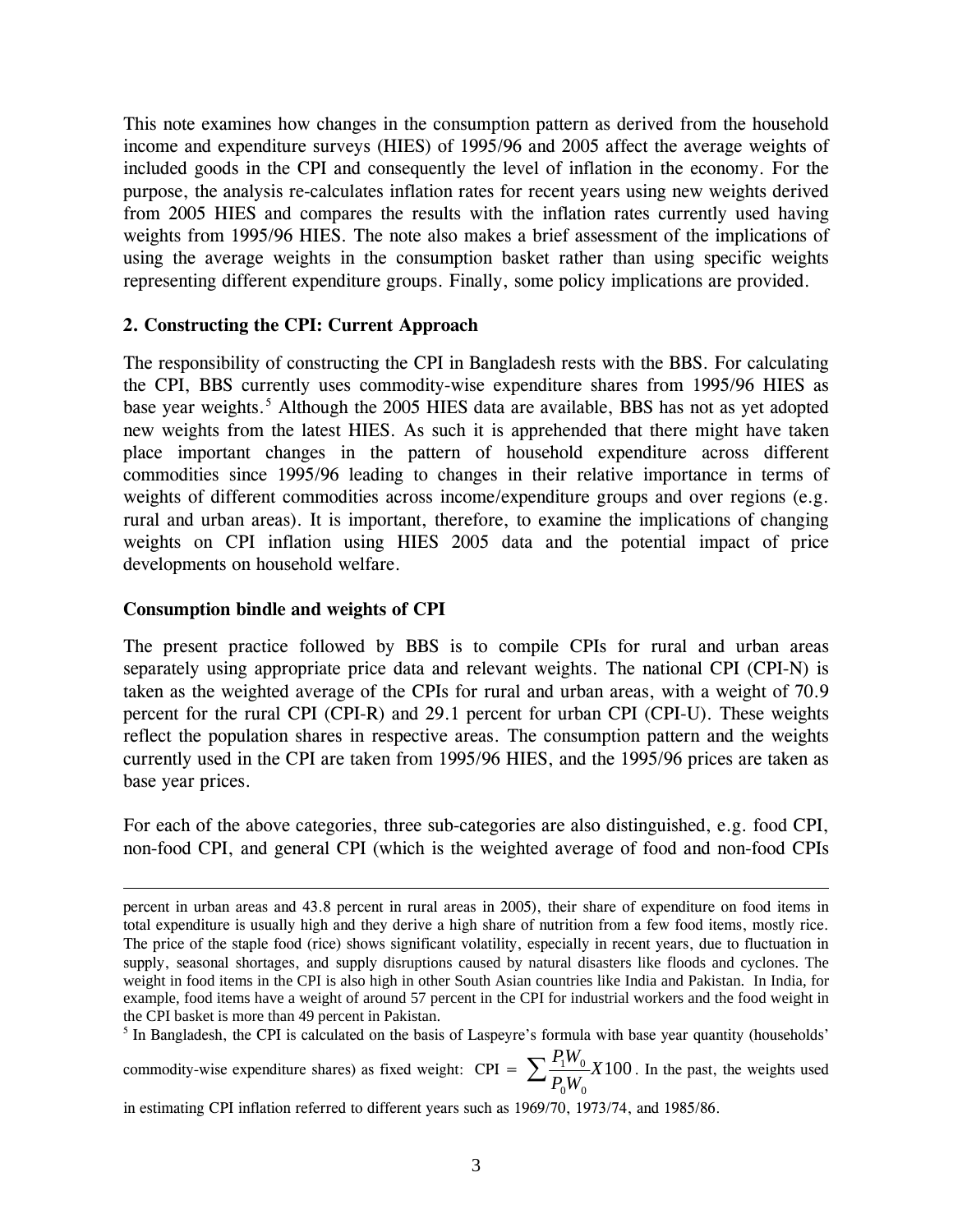This note examines how changes in the consumption pattern as derived from the household income and expenditure surveys (HIES) of 1995/96 and 2005 affect the average weights of included goods in the CPI and consequently the level of inflation in the economy. For the purpose, the analysis re-calculates inflation rates for recent years using new weights derived from 2005 HIES and compares the results with the inflation rates currently used having weights from 1995/96 HIES. The note also makes a brief assessment of the implications of using the average weights in the consumption basket rather than using specific weights representing different expenditure groups. Finally, some policy implications are provided.

#### **2. Constructing the CPI: Current Approach**

The responsibility of constructing the CPI in Bangladesh rests with the BBS. For calculating the CPI, BBS currently uses commodity-wise expenditure shares from 1995/96 HIES as base year weights.<sup>[5](#page-2-0)</sup> Although the 2005 HIES data are available, BBS has not as yet adopted new weights from the latest HIES. As such it is apprehended that there might have taken place important changes in the pattern of household expenditure across different commodities since 1995/96 leading to changes in their relative importance in terms of weights of different commodities across income/expenditure groups and over regions (e.g. rural and urban areas). It is important, therefore, to examine the implications of changing weights on CPI inflation using HIES 2005 data and the potential impact of price developments on household welfare.

#### **Consumption bindle and weights of CPI**

 $\overline{a}$ 

The present practice followed by BBS is to compile CPIs for rural and urban areas separately using appropriate price data and relevant weights. The national CPI (CPI-N) is taken as the weighted average of the CPIs for rural and urban areas, with a weight of 70.9 percent for the rural CPI (CPI-R) and 29.1 percent for urban CPI (CPI-U). These weights reflect the population shares in respective areas. The consumption pattern and the weights currently used in the CPI are taken from 1995/96 HIES, and the 1995/96 prices are taken as base year prices.

For each of the above categories, three sub-categories are also distinguished, e.g. food CPI, non-food CPI, and general CPI (which is the weighted average of food and non-food CPIs

<span id="page-2-0"></span><sup>5</sup> In Bangladesh, the CPI is calculated on the basis of Laspeyre's formula with base year quantity (households'

commodity-wise expenditure shares) as fixed weight: CPI =  $\sum_{n=1}^{\infty} \frac{11^n}{n} X100$  $0$   $^{\prime\prime}$   $^{\prime}$  $\frac{1^{IV}0}{2}X$  $\sum \frac{P_1 W_0}{P_0 W_0} X 100$ . In the past, the weights used

in estimating CPI inflation referred to different years such as 1969/70, 1973/74, and 1985/86.

percent in urban areas and 43.8 percent in rural areas in 2005), their share of expenditure on food items in total expenditure is usually high and they derive a high share of nutrition from a few food items, mostly rice. The price of the staple food (rice) shows significant volatility, especially in recent years, due to fluctuation in supply, seasonal shortages, and supply disruptions caused by natural disasters like floods and cyclones. The weight in food items in the CPI is also high in other South Asian countries like India and Pakistan. In India, for example, food items have a weight of around 57 percent in the CPI for industrial workers and the food weight in the CPI basket is more than 49 percent in Pakistan.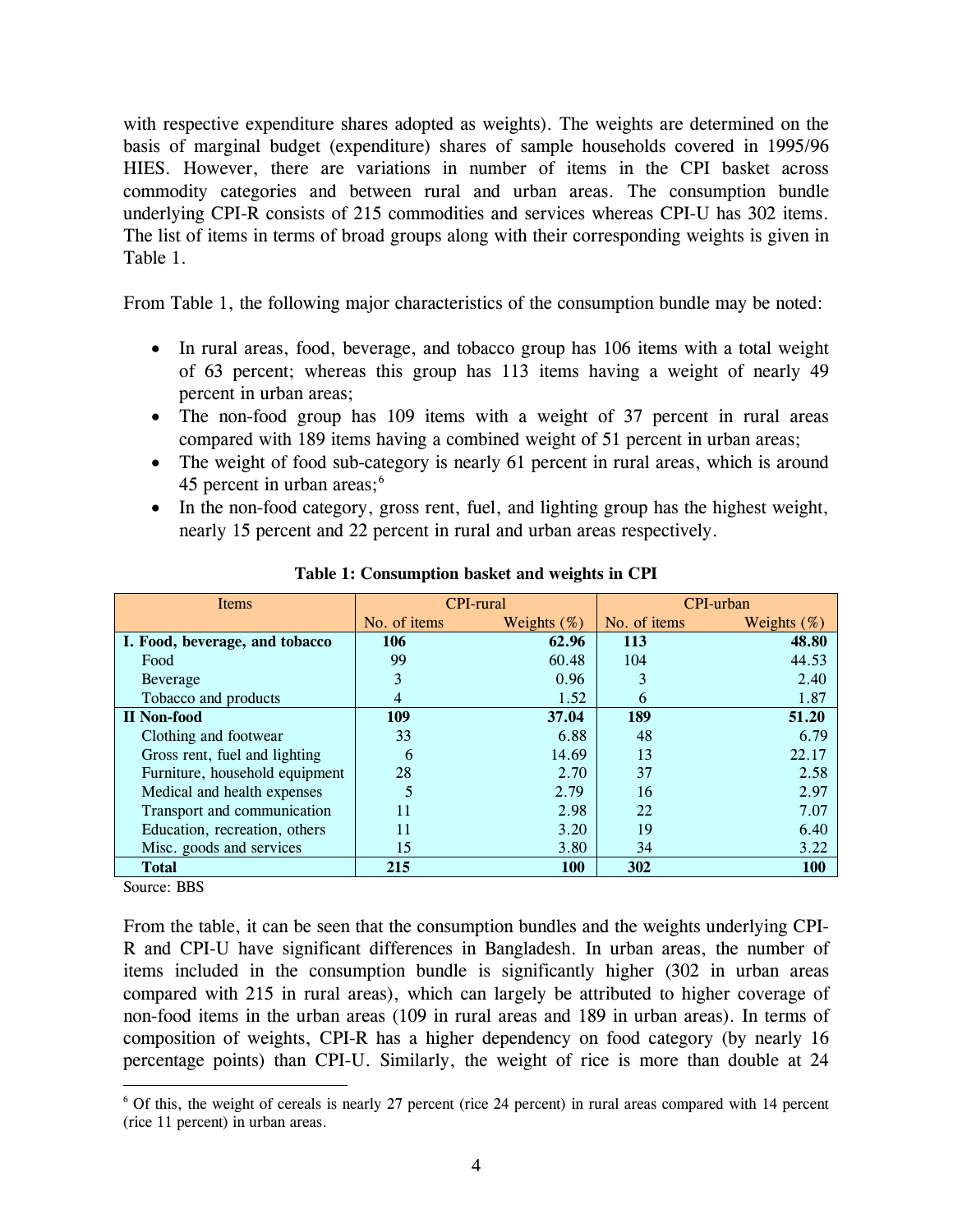with respective expenditure shares adopted as weights). The weights are determined on the basis of marginal budget (expenditure) shares of sample households covered in 1995/96 HIES. However, there are variations in number of items in the CPI basket across commodity categories and between rural and urban areas. The consumption bundle underlying CPI-R consists of 215 commodities and services whereas CPI-U has 302 items. The list of items in terms of broad groups along with their corresponding weights is given in Table 1.

From Table 1, the following major characteristics of the consumption bundle may be noted:

- In rural areas, food, beverage, and tobacco group has 106 items with a total weight of 63 percent; whereas this group has 113 items having a weight of nearly 49 percent in urban areas;
- The non-food group has 109 items with a weight of 37 percent in rural areas compared with 189 items having a combined weight of 51 percent in urban areas;
- The weight of food sub-category is nearly 61 percent in rural areas, which is around 45 percent in urban areas;<sup>[6](#page-3-0)</sup>
- In the non-food category, gross rent, fuel, and lighting group has the highest weight, nearly 15 percent and 22 percent in rural and urban areas respectively.

| Items                          |              | <b>CPI-rural</b> | CPI-urban    |                |  |
|--------------------------------|--------------|------------------|--------------|----------------|--|
|                                | No. of items | Weights $(\%)$   | No. of items | Weights $(\%)$ |  |
| I. Food, beverage, and tobacco | 106          | 62.96            | 113          | 48.80          |  |
| Food                           | 99           | 60.48            | 104          | 44.53          |  |
| <b>Beverage</b>                | 3            | 0.96             | 3            | 2.40           |  |
| Tobacco and products           | 4            | 1.52             | 6            | 1.87           |  |
| <b>II</b> Non-food             | 109          | 37.04            | 189          | 51.20          |  |
| Clothing and footwear          | 33           | 6.88             | 48           | 6.79           |  |
| Gross rent, fuel and lighting  | 6            | 14.69            | 13           | 22.17          |  |
| Furniture, household equipment | 28           | 2.70             | 37           | 2.58           |  |
| Medical and health expenses    | 5            | 2.79             | 16           | 2.97           |  |
| Transport and communication    | 11           | 2.98             | 22           | 7.07           |  |
| Education, recreation, others  | 11           | 3.20             | 19           | 6.40           |  |
| Misc. goods and services       | 15           | 3.80             | 34           | 3.22           |  |
| <b>Total</b>                   | 215          | <b>100</b>       | 302          | <b>100</b>     |  |

**Table 1: Consumption basket and weights in CPI** 

Source: BBS

 $\overline{a}$ 

From the table, it can be seen that the consumption bundles and the weights underlying CPI-R and CPI-U have significant differences in Bangladesh. In urban areas, the number of items included in the consumption bundle is significantly higher (302 in urban areas compared with 215 in rural areas), which can largely be attributed to higher coverage of non-food items in the urban areas (109 in rural areas and 189 in urban areas). In terms of composition of weights, CPI-R has a higher dependency on food category (by nearly 16 percentage points) than CPI-U. Similarly, the weight of rice is more than double at 24

<span id="page-3-0"></span><sup>&</sup>lt;sup>6</sup> Of this, the weight of cereals is nearly 27 percent (rice 24 percent) in rural areas compared with 14 percent (rice 11 percent) in urban areas.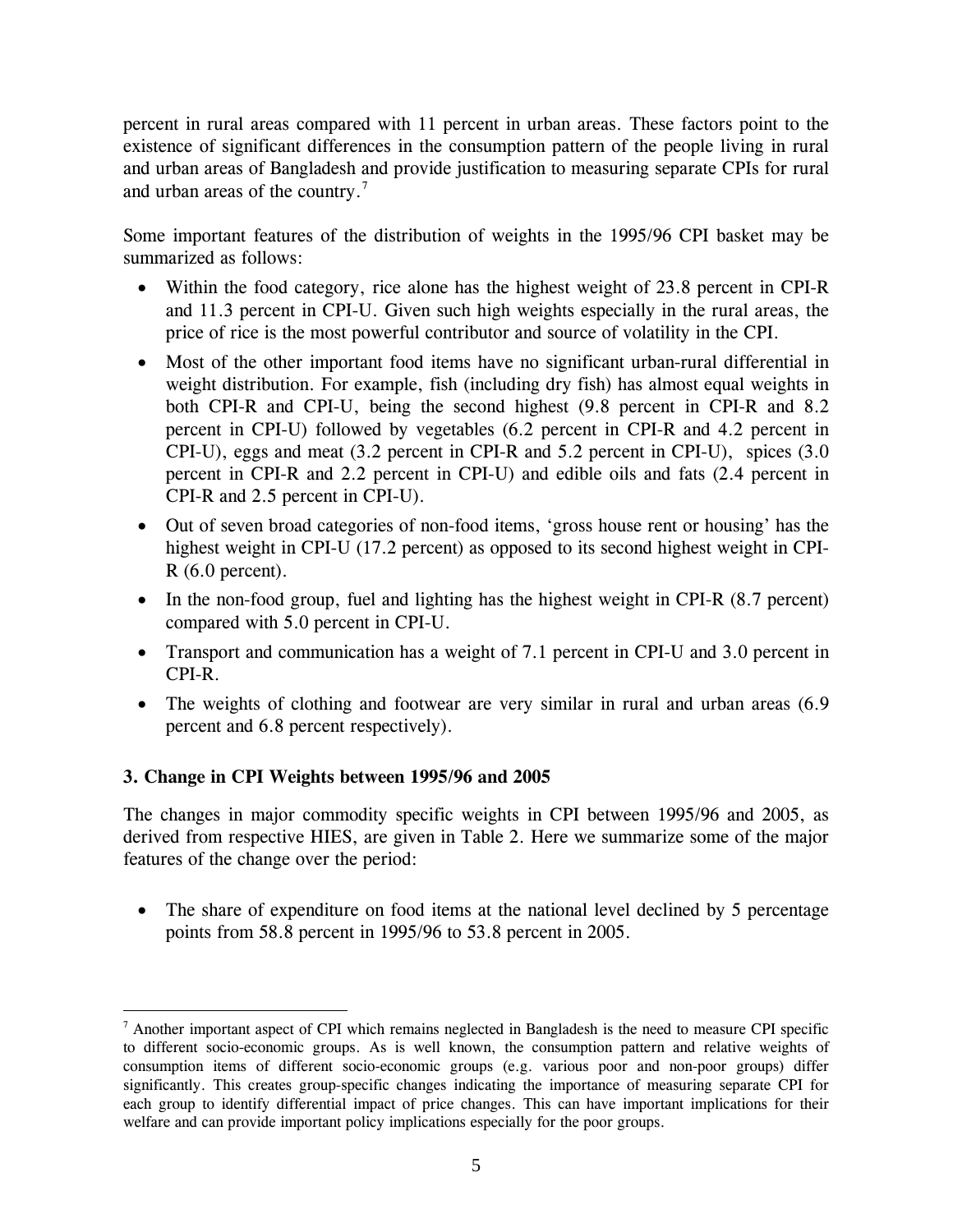percent in rural areas compared with 11 percent in urban areas. These factors point to the existence of significant differences in the consumption pattern of the people living in rural and urban areas of Bangladesh and provide justification to measuring separate CPIs for rural and urban areas of the country.<sup>[7](#page-4-0)</sup>

Some important features of the distribution of weights in the 1995/96 CPI basket may be summarized as follows:

- Within the food category, rice alone has the highest weight of 23.8 percent in CPI-R and 11.3 percent in CPI-U. Given such high weights especially in the rural areas, the price of rice is the most powerful contributor and source of volatility in the CPI.
- Most of the other important food items have no significant urban-rural differential in weight distribution. For example, fish (including dry fish) has almost equal weights in both CPI-R and CPI-U, being the second highest (9.8 percent in CPI-R and 8.2 percent in CPI-U) followed by vegetables (6.2 percent in CPI-R and 4.2 percent in CPI-U), eggs and meat (3.2 percent in CPI-R and 5.2 percent in CPI-U), spices (3.0 percent in CPI-R and 2.2 percent in CPI-U) and edible oils and fats (2.4 percent in CPI-R and 2.5 percent in CPI-U).
- Out of seven broad categories of non-food items, 'gross house rent or housing' has the highest weight in CPI-U (17.2 percent) as opposed to its second highest weight in CPI- $R(6.0$  percent).
- In the non-food group, fuel and lighting has the highest weight in CPI-R  $(8.7 \text{ percent})$ compared with 5.0 percent in CPI-U.
- Transport and communication has a weight of 7.1 percent in CPI-U and 3.0 percent in CPI-R.
- The weights of clothing and footwear are very similar in rural and urban areas (6.9) percent and 6.8 percent respectively).

## **3. Change in CPI Weights between 1995/96 and 2005**

 $\overline{a}$ 

The changes in major commodity specific weights in CPI between 1995/96 and 2005, as derived from respective HIES, are given in Table 2. Here we summarize some of the major features of the change over the period:

• The share of expenditure on food items at the national level declined by 5 percentage points from 58.8 percent in 1995/96 to 53.8 percent in 2005.

<span id="page-4-0"></span><sup>&</sup>lt;sup>7</sup> Another important aspect of CPI which remains neglected in Bangladesh is the need to measure CPI specific to different socio-economic groups. As is well known, the consumption pattern and relative weights of consumption items of different socio-economic groups (e.g. various poor and non-poor groups) differ significantly. This creates group-specific changes indicating the importance of measuring separate CPI for each group to identify differential impact of price changes. This can have important implications for their welfare and can provide important policy implications especially for the poor groups.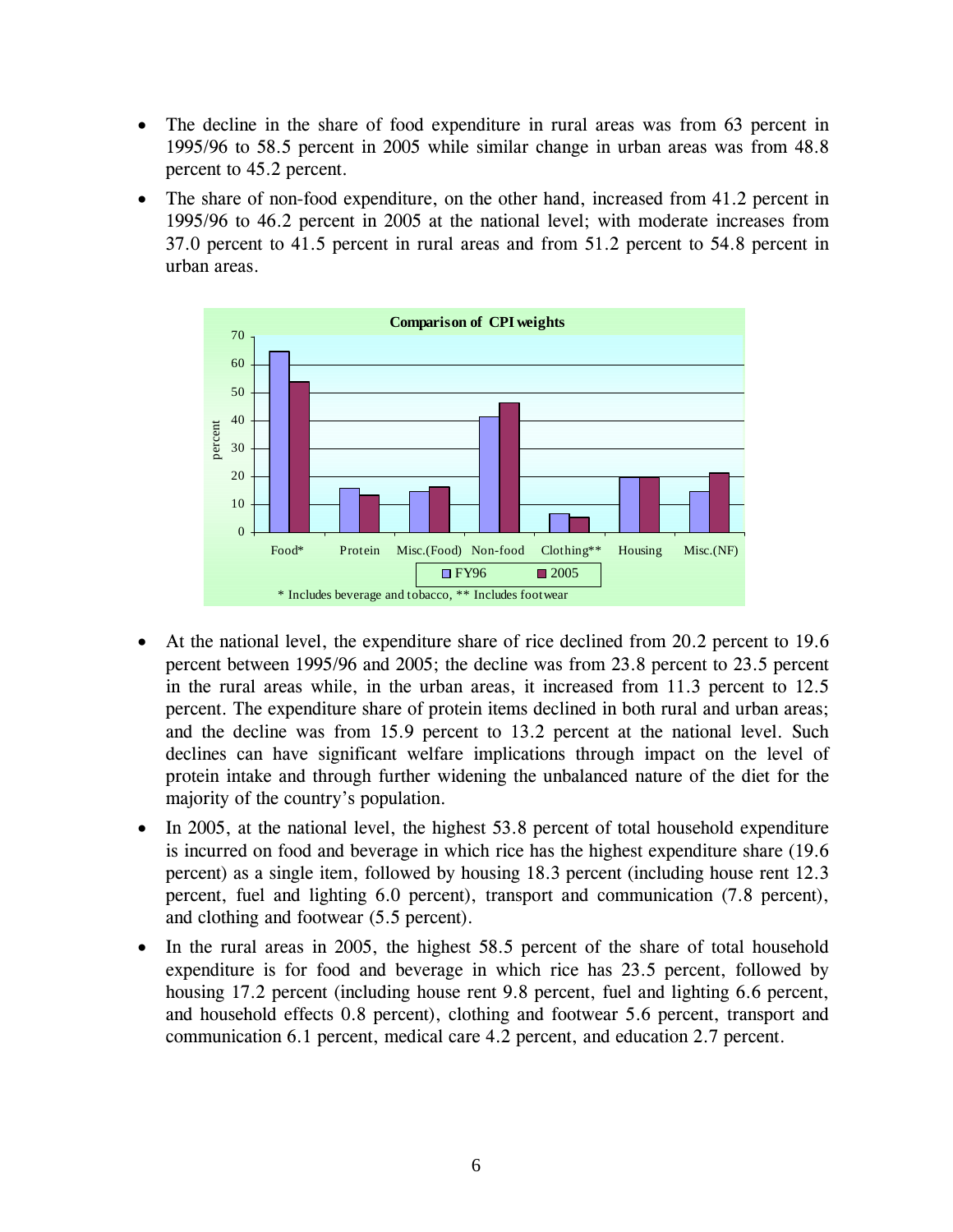- The decline in the share of food expenditure in rural areas was from 63 percent in 1995/96 to 58.5 percent in 2005 while similar change in urban areas was from 48.8 percent to 45.2 percent.
- The share of non-food expenditure, on the other hand, increased from 41.2 percent in 1995/96 to 46.2 percent in 2005 at the national level; with moderate increases from 37.0 percent to 41.5 percent in rural areas and from 51.2 percent to 54.8 percent in urban areas.



- At the national level, the expenditure share of rice declined from 20.2 percent to 19.6 percent between 1995/96 and 2005; the decline was from 23.8 percent to 23.5 percent in the rural areas while, in the urban areas, it increased from 11.3 percent to 12.5 percent. The expenditure share of protein items declined in both rural and urban areas; and the decline was from 15.9 percent to 13.2 percent at the national level. Such declines can have significant welfare implications through impact on the level of protein intake and through further widening the unbalanced nature of the diet for the majority of the country's population.
- In 2005, at the national level, the highest 53.8 percent of total household expenditure is incurred on food and beverage in which rice has the highest expenditure share (19.6 percent) as a single item, followed by housing 18.3 percent (including house rent 12.3 percent, fuel and lighting 6.0 percent), transport and communication (7.8 percent), and clothing and footwear (5.5 percent).
- In the rural areas in 2005, the highest 58.5 percent of the share of total household expenditure is for food and beverage in which rice has 23.5 percent, followed by housing 17.2 percent (including house rent 9.8 percent, fuel and lighting 6.6 percent, and household effects 0.8 percent), clothing and footwear 5.6 percent, transport and communication 6.1 percent, medical care 4.2 percent, and education 2.7 percent.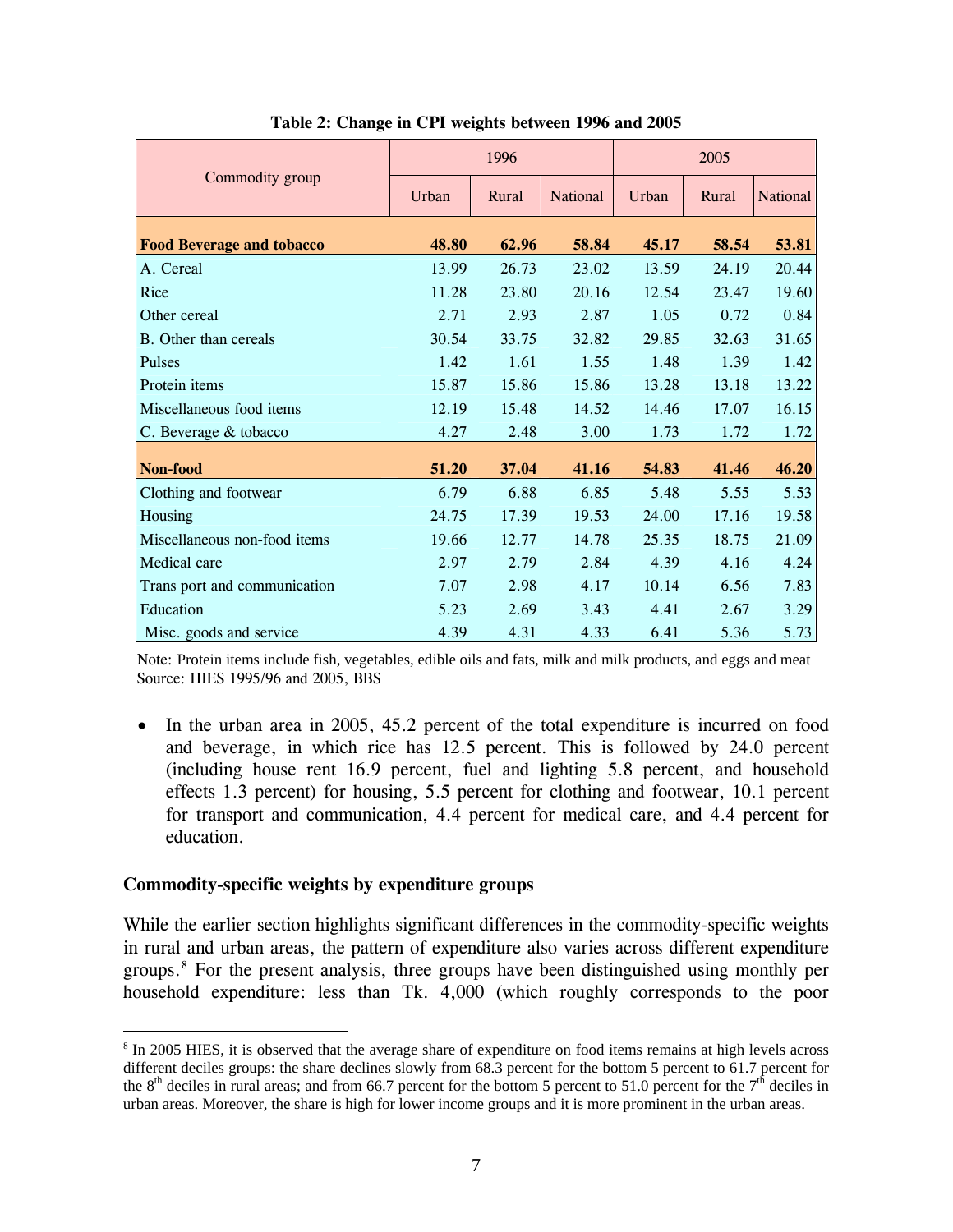|                                  |       | 1996  |          | 2005  |       |          |  |
|----------------------------------|-------|-------|----------|-------|-------|----------|--|
| Commodity group                  | Urban | Rural | National | Urban | Rural | National |  |
| <b>Food Beverage and tobacco</b> | 48.80 | 62.96 | 58.84    | 45.17 | 58.54 | 53.81    |  |
| A. Cereal                        | 13.99 | 26.73 | 23.02    | 13.59 | 24.19 | 20.44    |  |
| Rice                             | 11.28 | 23.80 | 20.16    | 12.54 | 23.47 | 19.60    |  |
| Other cereal                     | 2.71  | 2.93  | 2.87     | 1.05  | 0.72  | 0.84     |  |
| B. Other than cereals            | 30.54 | 33.75 | 32.82    | 29.85 | 32.63 | 31.65    |  |
| Pulses                           | 1.42  | 1.61  | 1.55     | 1.48  | 1.39  | 1.42     |  |
| Protein items                    | 15.87 | 15.86 | 15.86    | 13.28 | 13.18 | 13.22    |  |
| Miscellaneous food items         | 12.19 | 15.48 | 14.52    | 14.46 | 17.07 | 16.15    |  |
| C. Beverage & tobacco            | 4.27  | 2.48  | 3.00     | 1.73  | 1.72  | 1.72     |  |
| Non-food                         | 51.20 | 37.04 | 41.16    | 54.83 | 41.46 | 46.20    |  |
| Clothing and footwear            | 6.79  | 6.88  | 6.85     | 5.48  | 5.55  | 5.53     |  |
| Housing                          | 24.75 | 17.39 | 19.53    | 24.00 | 17.16 | 19.58    |  |
| Miscellaneous non-food items     | 19.66 | 12.77 | 14.78    | 25.35 | 18.75 | 21.09    |  |
| Medical care                     | 2.97  | 2.79  | 2.84     | 4.39  | 4.16  | 4.24     |  |
| Trans port and communication     | 7.07  | 2.98  | 4.17     | 10.14 | 6.56  | 7.83     |  |
| Education                        | 5.23  | 2.69  | 3.43     | 4.41  | 2.67  | 3.29     |  |
| Misc. goods and service          | 4.39  | 4.31  | 4.33     | 6.41  | 5.36  | 5.73     |  |

**Table 2: Change in CPI weights between 1996 and 2005** 

 Note: Protein items include fish, vegetables, edible oils and fats, milk and milk products, and eggs and meat Source: HIES 1995/96 and 2005, BBS

• In the urban area in 2005, 45.2 percent of the total expenditure is incurred on food and beverage, in which rice has 12.5 percent. This is followed by 24.0 percent (including house rent 16.9 percent, fuel and lighting 5.8 percent, and household effects 1.3 percent) for housing, 5.5 percent for clothing and footwear, 10.1 percent for transport and communication, 4.4 percent for medical care, and 4.4 percent for education.

#### **Commodity-specific weights by expenditure groups**

 $\overline{a}$ 

While the earlier section highlights significant differences in the commodity-specific weights in rural and urban areas, the pattern of expenditure also varies across different expenditure groups.[8](#page-6-0) For the present analysis, three groups have been distinguished using monthly per household expenditure: less than Tk. 4,000 (which roughly corresponds to the poor

<span id="page-6-0"></span><sup>&</sup>lt;sup>8</sup> In 2005 HIES, it is observed that the average share of expenditure on food items remains at high levels across different deciles groups: the share declines slowly from 68.3 percent for the bottom 5 percent to 61.7 percent for the 8<sup>th</sup> deciles in rural areas; and from 66.7 percent for the bottom 5 percent to 51.0 percent for the  $7<sup>th</sup>$  deciles in urban areas. Moreover, the share is high for lower income groups and it is more prominent in the urban areas.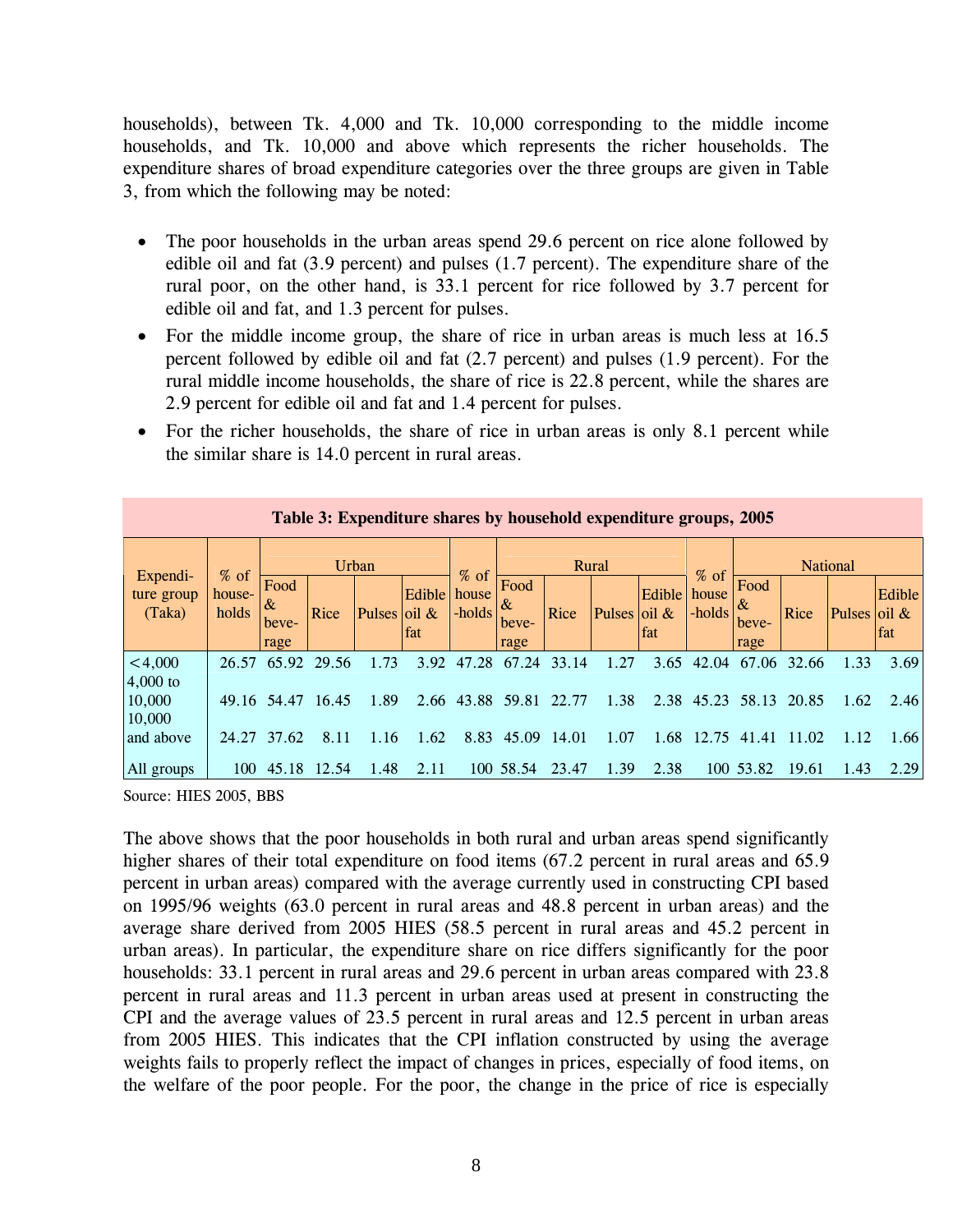households), between Tk. 4,000 and Tk. 10,000 corresponding to the middle income households, and Tk. 10,000 and above which represents the richer households. The expenditure shares of broad expenditure categories over the three groups are given in Table 3, from which the following may be noted:

- The poor households in the urban areas spend 29.6 percent on rice alone followed by edible oil and fat (3.9 percent) and pulses (1.7 percent). The expenditure share of the rural poor, on the other hand, is 33.1 percent for rice followed by 3.7 percent for edible oil and fat, and 1.3 percent for pulses.
- For the middle income group, the share of rice in urban areas is much less at 16.5 percent followed by edible oil and fat (2.7 percent) and pulses (1.9 percent). For the rural middle income households, the share of rice is 22.8 percent, while the shares are 2.9 percent for edible oil and fat and 1.4 percent for pulses.
- For the richer households, the share of rice in urban areas is only 8.1 percent while the similar share is 14.0 percent in rural areas.

| Table 3: Expenditure shares by household expenditure groups, 2005 |                           |                               |       |              |                        |                           |                            |       |              |                     |                 |                            |       |                 |               |
|-------------------------------------------------------------------|---------------------------|-------------------------------|-------|--------------|------------------------|---------------------------|----------------------------|-------|--------------|---------------------|-----------------|----------------------------|-------|-----------------|---------------|
|                                                                   |                           | Urban                         |       |              |                        | Rural                     |                            |       |              |                     | <b>National</b> |                            |       |                 |               |
| Expendi-<br>ture group<br>(Taka)                                  | $%$ of<br>house-<br>holds | Food<br>$\&$<br>beve-<br>rage | Rice  | Pulses oil & | Edible  <br><b>fat</b> | $%$ of<br>house<br>-holds | Food<br>&<br>beve-<br>rage | Rice  | Pulses oil & | Edible house<br>fat | % of<br>-holds  | Food<br>&<br>beve-<br>rage | Rice  | Pulses oil $\&$ | Edible<br>fat |
| < 4,000<br>$4,000$ to                                             | 26.57                     | 65.92                         | 29.56 | 1.73         | 3.92                   | 47.28                     | 67.24                      | 33.14 | 1.27         | 3.65                | 42.<br>.04      | 67.06                      | 32.66 | 1.33            | 3.69          |
| 10,000<br>10,000                                                  |                           | 49.16 54.47                   | 16.45 | 1.89         | 2.66                   |                           | 43.88 59.81                | 22.77 | 1.38         |                     | 2.38 45.23      | 58.13                      | 20.85 | 1.62            | 2.46          |
| and above                                                         | 24.27                     | 37.62                         | 8.11  | 1.16         | 1.62                   | 8.83                      | 45.09                      | 14.01 | 1.07         | 1.68                | 12.75           | 41.41                      | 11.02 | 1.12            | 1.66          |
| All groups                                                        | 100                       | 45.18                         | 12.54 | 1.48         | 2.11                   |                           | 100 58.54                  | 23.47 | 1.39         | 2.38                |                 | 100 53.82                  | 19.61 | 1.43            | 2.29          |

Source: HIES 2005, BBS

The above shows that the poor households in both rural and urban areas spend significantly higher shares of their total expenditure on food items (67.2 percent in rural areas and 65.9 percent in urban areas) compared with the average currently used in constructing CPI based on 1995/96 weights (63.0 percent in rural areas and 48.8 percent in urban areas) and the average share derived from 2005 HIES (58.5 percent in rural areas and 45.2 percent in urban areas). In particular, the expenditure share on rice differs significantly for the poor households: 33.1 percent in rural areas and 29.6 percent in urban areas compared with 23.8 percent in rural areas and 11.3 percent in urban areas used at present in constructing the CPI and the average values of 23.5 percent in rural areas and 12.5 percent in urban areas from 2005 HIES. This indicates that the CPI inflation constructed by using the average weights fails to properly reflect the impact of changes in prices, especially of food items, on the welfare of the poor people. For the poor, the change in the price of rice is especially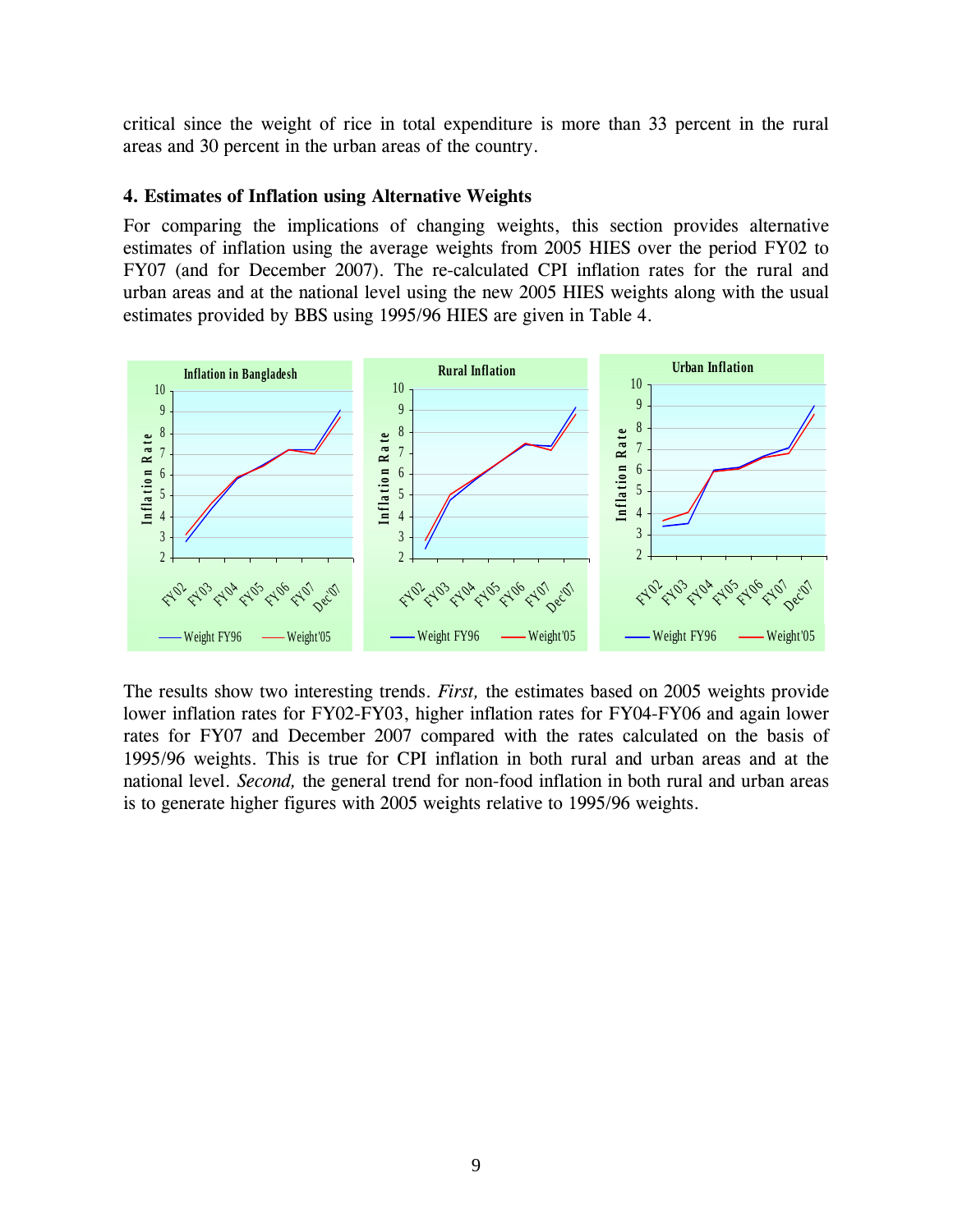critical since the weight of rice in total expenditure is more than 33 percent in the rural areas and 30 percent in the urban areas of the country.

#### **4. Estimates of Inflation using Alternative Weights**

For comparing the implications of changing weights, this section provides alternative estimates of inflation using the average weights from 2005 HIES over the period FY02 to FY07 (and for December 2007). The re-calculated CPI inflation rates for the rural and urban areas and at the national level using the new 2005 HIES weights along with the usual estimates provided by BBS using 1995/96 HIES are given in Table 4.



The results show two interesting trends. *First,* the estimates based on 2005 weights provide lower inflation rates for FY02-FY03, higher inflation rates for FY04-FY06 and again lower rates for FY07 and December 2007 compared with the rates calculated on the basis of 1995/96 weights. This is true for CPI inflation in both rural and urban areas and at the national level. *Second,* the general trend for non-food inflation in both rural and urban areas is to generate higher figures with 2005 weights relative to 1995/96 weights.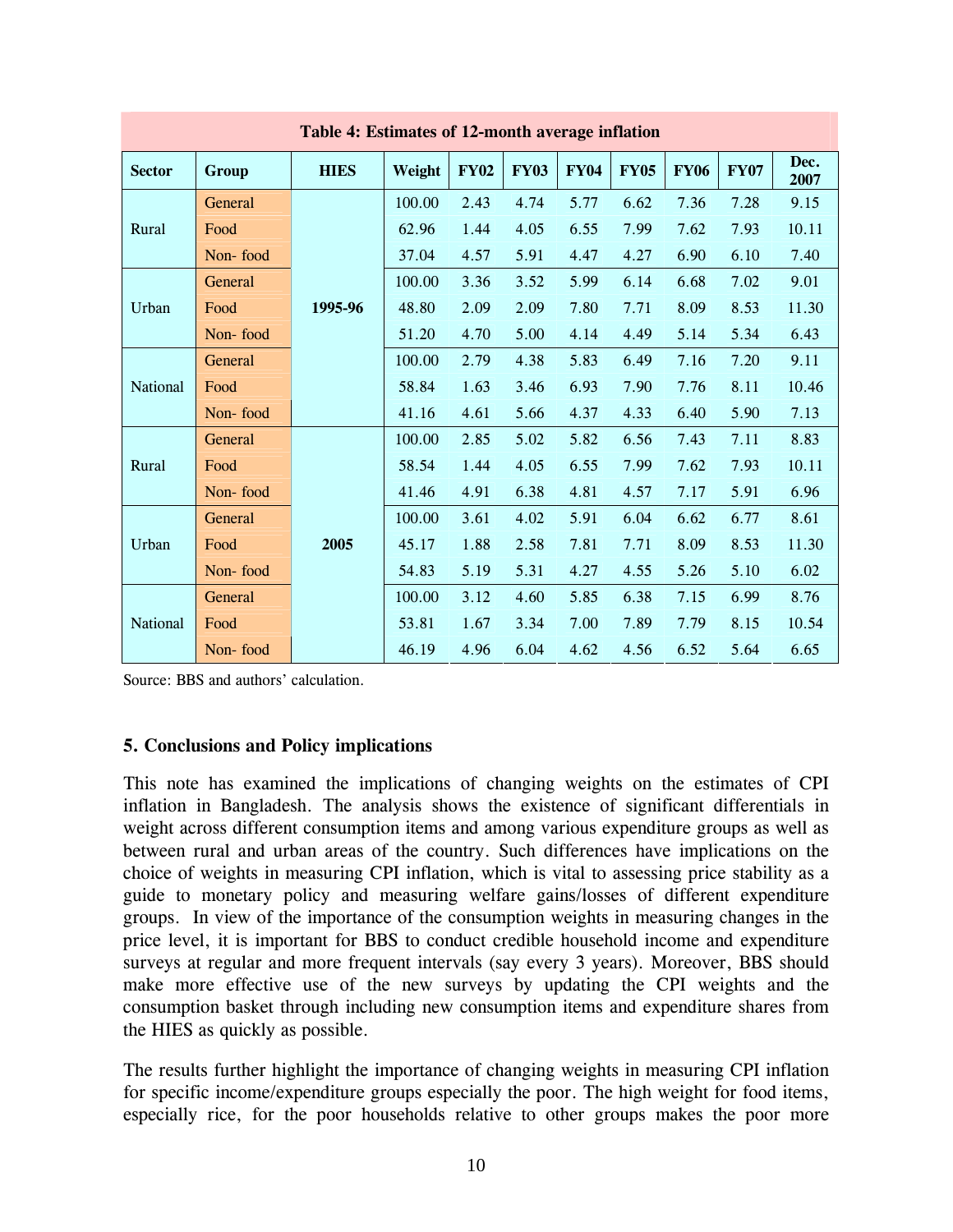| Table 4: Estimates of 12-month average inflation |          |             |        |             |             |             |             |             |             |              |
|--------------------------------------------------|----------|-------------|--------|-------------|-------------|-------------|-------------|-------------|-------------|--------------|
| <b>Sector</b>                                    | Group    | <b>HIES</b> | Weight | <b>FY02</b> | <b>FY03</b> | <b>FY04</b> | <b>FY05</b> | <b>FY06</b> | <b>FY07</b> | Dec.<br>2007 |
|                                                  | General  |             | 100.00 | 2.43        | 4.74        | 5.77        | 6.62        | 7.36        | 7.28        | 9.15         |
| Rural                                            | Food     |             | 62.96  | 1.44        | 4.05        | 6.55        | 7.99        | 7.62        | 7.93        | 10.11        |
|                                                  | Non-food |             | 37.04  | 4.57        | 5.91        | 4.47        | 4.27        | 6.90        | 6.10        | 7.40         |
|                                                  | General  |             | 100.00 | 3.36        | 3.52        | 5.99        | 6.14        | 6.68        | 7.02        | 9.01         |
| Urban                                            | Food     | 1995-96     | 48.80  | 2.09        | 2.09        | 7.80        | 7.71        | 8.09        | 8.53        | 11.30        |
|                                                  | Non-food |             | 51.20  | 4.70        | 5.00        | 4.14        | 4.49        | 5.14        | 5.34        | 6.43         |
|                                                  | General  |             | 100.00 | 2.79        | 4.38        | 5.83        | 6.49        | 7.16        | 7.20        | 9.11         |
| National                                         | Food     |             | 58.84  | 1.63        | 3.46        | 6.93        | 7.90        | 7.76        | 8.11        | 10.46        |
|                                                  | Non-food |             | 41.16  | 4.61        | 5.66        | 4.37        | 4.33        | 6.40        | 5.90        | 7.13         |
|                                                  | General  |             | 100.00 | 2.85        | 5.02        | 5.82        | 6.56        | 7.43        | 7.11        | 8.83         |
| Rural                                            | Food     |             | 58.54  | 1.44        | 4.05        | 6.55        | 7.99        | 7.62        | 7.93        | 10.11        |
|                                                  | Non-food |             | 41.46  | 4.91        | 6.38        | 4.81        | 4.57        | 7.17        | 5.91        | 6.96         |
|                                                  | General  |             | 100.00 | 3.61        | 4.02        | 5.91        | 6.04        | 6.62        | 6.77        | 8.61         |
| Urban                                            | Food     | 2005        | 45.17  | 1.88        | 2.58        | 7.81        | 7.71        | 8.09        | 8.53        | 11.30        |
|                                                  | Non-food |             | 54.83  | 5.19        | 5.31        | 4.27        | 4.55        | 5.26        | 5.10        | 6.02         |
|                                                  | General  |             | 100.00 | 3.12        | 4.60        | 5.85        | 6.38        | 7.15        | 6.99        | 8.76         |
| <b>National</b>                                  | Food     |             | 53.81  | 1.67        | 3.34        | 7.00        | 7.89        | 7.79        | 8.15        | 10.54        |
|                                                  | Non-food |             | 46.19  | 4.96        | 6.04        | 4.62        | 4.56        | 6.52        | 5.64        | 6.65         |

Source: BBS and authors' calculation.

## **5. Conclusions and Policy implications**

This note has examined the implications of changing weights on the estimates of CPI inflation in Bangladesh. The analysis shows the existence of significant differentials in weight across different consumption items and among various expenditure groups as well as between rural and urban areas of the country. Such differences have implications on the choice of weights in measuring CPI inflation, which is vital to assessing price stability as a guide to monetary policy and measuring welfare gains/losses of different expenditure groups. In view of the importance of the consumption weights in measuring changes in the price level, it is important for BBS to conduct credible household income and expenditure surveys at regular and more frequent intervals (say every 3 years). Moreover, BBS should make more effective use of the new surveys by updating the CPI weights and the consumption basket through including new consumption items and expenditure shares from the HIES as quickly as possible.

The results further highlight the importance of changing weights in measuring CPI inflation for specific income/expenditure groups especially the poor. The high weight for food items, especially rice, for the poor households relative to other groups makes the poor more